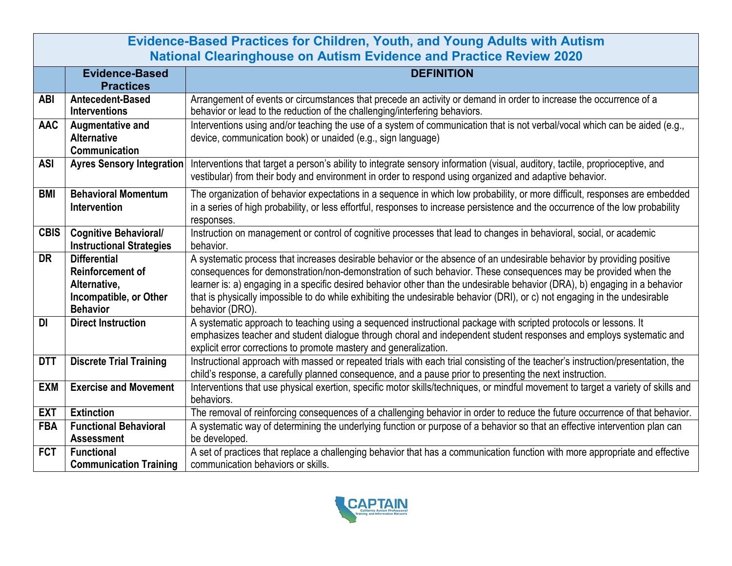| <b>Evidence-Based Practices for Children, Youth, and Young Adults with Autism</b><br><b>National Clearinghouse on Autism Evidence and Practice Review 2020</b> |                                                                                                             |                                                                                                                                                                                                                                                                                                                                                                                                                                                                                                                          |  |
|----------------------------------------------------------------------------------------------------------------------------------------------------------------|-------------------------------------------------------------------------------------------------------------|--------------------------------------------------------------------------------------------------------------------------------------------------------------------------------------------------------------------------------------------------------------------------------------------------------------------------------------------------------------------------------------------------------------------------------------------------------------------------------------------------------------------------|--|
|                                                                                                                                                                | <b>Evidence-Based</b><br><b>Practices</b>                                                                   | <b>DEFINITION</b>                                                                                                                                                                                                                                                                                                                                                                                                                                                                                                        |  |
| <b>ABI</b>                                                                                                                                                     | Antecedent-Based<br><b>Interventions</b>                                                                    | Arrangement of events or circumstances that precede an activity or demand in order to increase the occurrence of a<br>behavior or lead to the reduction of the challenging/interfering behaviors.                                                                                                                                                                                                                                                                                                                        |  |
| <b>AAC</b>                                                                                                                                                     | Augmentative and<br><b>Alternative</b><br>Communication                                                     | Interventions using and/or teaching the use of a system of communication that is not verbal/vocal which can be aided (e.g.,<br>device, communication book) or unaided (e.g., sign language)                                                                                                                                                                                                                                                                                                                              |  |
| <b>ASI</b>                                                                                                                                                     | <b>Ayres Sensory Integration</b>                                                                            | Interventions that target a person's ability to integrate sensory information (visual, auditory, tactile, proprioceptive, and<br>vestibular) from their body and environment in order to respond using organized and adaptive behavior.                                                                                                                                                                                                                                                                                  |  |
| <b>BMI</b>                                                                                                                                                     | <b>Behavioral Momentum</b><br><b>Intervention</b>                                                           | The organization of behavior expectations in a sequence in which low probability, or more difficult, responses are embedded<br>in a series of high probability, or less effortful, responses to increase persistence and the occurrence of the low probability<br>responses.                                                                                                                                                                                                                                             |  |
| <b>CBIS</b>                                                                                                                                                    | <b>Cognitive Behavioral/</b><br><b>Instructional Strategies</b>                                             | Instruction on management or control of cognitive processes that lead to changes in behavioral, social, or academic<br>behavior.                                                                                                                                                                                                                                                                                                                                                                                         |  |
| <b>DR</b>                                                                                                                                                      | <b>Differential</b><br><b>Reinforcement of</b><br>Alternative,<br>Incompatible, or Other<br><b>Behavior</b> | A systematic process that increases desirable behavior or the absence of an undesirable behavior by providing positive<br>consequences for demonstration/non-demonstration of such behavior. These consequences may be provided when the<br>learner is: a) engaging in a specific desired behavior other than the undesirable behavior (DRA), b) engaging in a behavior<br>that is physically impossible to do while exhibiting the undesirable behavior (DRI), or c) not engaging in the undesirable<br>behavior (DRO). |  |
| <b>DI</b>                                                                                                                                                      | <b>Direct Instruction</b>                                                                                   | A systematic approach to teaching using a sequenced instructional package with scripted protocols or lessons. It<br>emphasizes teacher and student dialogue through choral and independent student responses and employs systematic and<br>explicit error corrections to promote mastery and generalization.                                                                                                                                                                                                             |  |
| <b>DTT</b>                                                                                                                                                     | <b>Discrete Trial Training</b>                                                                              | Instructional approach with massed or repeated trials with each trial consisting of the teacher's instruction/presentation, the<br>child's response, a carefully planned consequence, and a pause prior to presenting the next instruction.                                                                                                                                                                                                                                                                              |  |
| <b>EXM</b>                                                                                                                                                     | <b>Exercise and Movement</b>                                                                                | Interventions that use physical exertion, specific motor skills/techniques, or mindful movement to target a variety of skills and<br>behaviors.                                                                                                                                                                                                                                                                                                                                                                          |  |
| <b>EXT</b>                                                                                                                                                     | <b>Extinction</b>                                                                                           | The removal of reinforcing consequences of a challenging behavior in order to reduce the future occurrence of that behavior.                                                                                                                                                                                                                                                                                                                                                                                             |  |
| <b>FBA</b>                                                                                                                                                     | <b>Functional Behavioral</b><br><b>Assessment</b>                                                           | A systematic way of determining the underlying function or purpose of a behavior so that an effective intervention plan can<br>be developed.                                                                                                                                                                                                                                                                                                                                                                             |  |
| <b>FCT</b>                                                                                                                                                     | <b>Functional</b><br><b>Communication Training</b>                                                          | A set of practices that replace a challenging behavior that has a communication function with more appropriate and effective<br>communication behaviors or skills.                                                                                                                                                                                                                                                                                                                                                       |  |